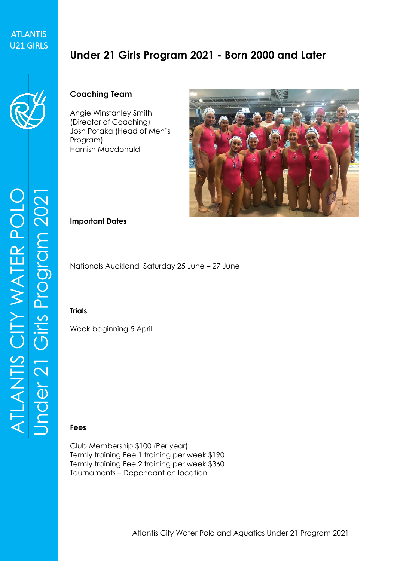## ATLANTIS ATLANTIS<br>U21 GIRLS

# **Under 21 Girls Program 2021 - Born 2000 and Later**



### **Coaching Team**

Angie Winstanley Smith (Director of Coaching) Josh Potaka (Head of Men's Program) Hamish Macdonald



#### **Important Dates**

Nationals Auckland Saturday 25 June – 27 June

#### **Trials**

Week beginning 5 April

### **Fees**

Club Membership \$100 (Per year) Termly training Fee 1 training per week \$190 Termly training Fee 2 training per week \$360 Tournaments – Dependant on location

ATLANTIS CITY WATER POLO Under 21 Girls Prog ram 2021 ATLANTIS CITY WATER POLO<br>Under 21 Girls Program 2021 ATLANTIS CITY WATER POLO<br>Under 21 Girls Program 2021